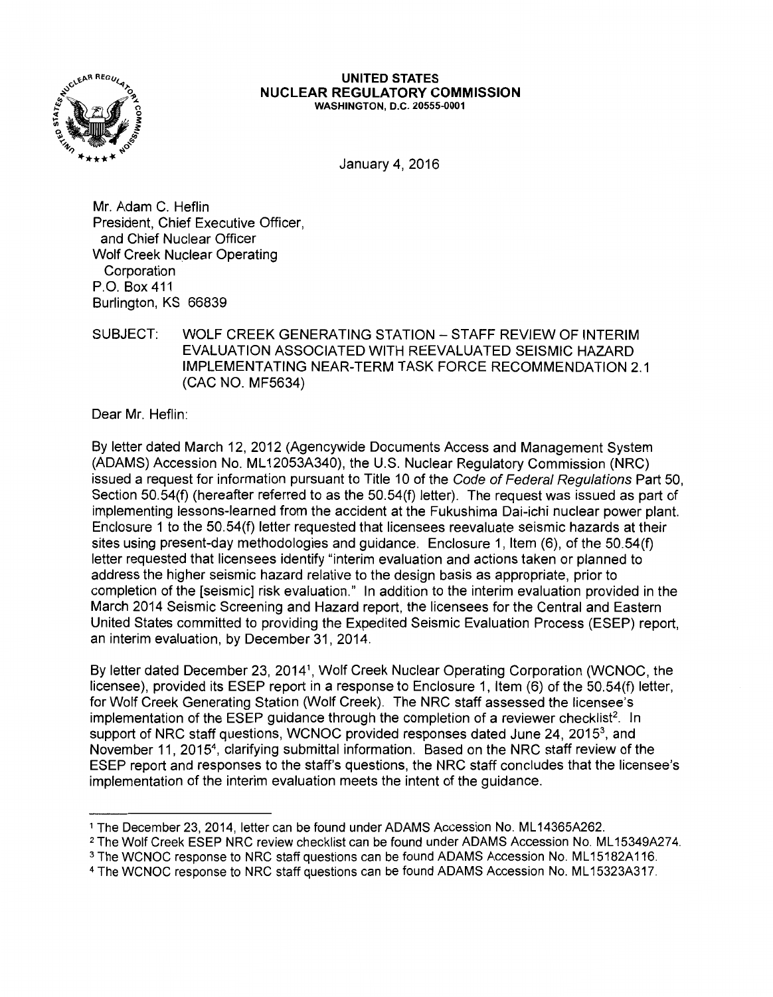

#### **UNITED STATES NUCLEAR REGULATORY COMMISSION**  WASHINGTON, D.C. 20555-0001

January 4, 2016

Mr. Adam C. Heflin President, Chief Executive Officer, and Chief Nuclear Officer Wolf Creek Nuclear Operating Corporation P.O. Box 411 Burlington, KS 66839

# SUBJECT: WOLF CREEK GENERATING STATION-STAFF REVIEW OF INTERIM EVALUATION ASSOCIATED WITH REEVALUATED SEISMIC HAZARD IMPLEMENTATING NEAR-TERM TASK FORCE RECOMMENDATION 2.1 (CAC NO. MF5634)

Dear Mr. Heflin:

By letter dated March 12, 2012 (Agencywide Documents Access and Management System (ADAMS) Accession No. ML 12053A340), the U.S. Nuclear Regulatory Commission (NRC) issued a request for information pursuant to Title 10 of the Code of Federal Regulations Part 50, Section 50.54(f) (hereafter referred to as the 50.54(f) letter). The request was issued as part of implementing lessons-learned from the accident at the Fukushima Dai-ichi nuclear power plant. Enclosure 1 to the 50.54(f) letter requested that licensees reevaluate seismic hazards at their sites using present-day methodologies and guidance. Enclosure 1, Item (6), of the 50.54(f) letter requested that licensees identify "interim evaluation and actions taken or planned to address the higher seismic hazard relative to the design basis as appropriate, prior to completion of the [seismic] risk evaluation." In addition to the interim evaluation provided in the March 2014 Seismic Screening and Hazard report, the licensees for the Central and Eastern United States committed to providing the Expedited Seismic Evaluation Process (ESEP) report, an interim evaluation, by December 31, 2014.

By letter dated December 23, 20141, Wolf Creek Nuclear Operating Corporation (WCNOC, the licensee), provided its ESEP report in a response to Enclosure 1, Item (6) of the 50.54(f) letter, for Wolf Creek Generating Station (Wolf Creek). The NRC staff assessed the licensee's implementation of the ESEP guidance through the completion of a reviewer checklist<sup>2</sup>. In support of NRC staff questions, WCNOC provided responses dated June 24, 2015<sup>3</sup>, and November 11, 2015<sup>4</sup> , clarifying submittal information. Based on the NRC staff review of the ESEP report and responses to the staff's questions, the NRC staff concludes that the licensee's implementation of the interim evaluation meets the intent of the guidance.

- <sup>1</sup> The December 23, 2014, letter can be found under ADAMS Accession No. ML14365A262.<br><sup>2</sup> The Wolf Creek ESEP NRC review checklist can be found under ADAMS Accession No. ML15349A274.
- <sup>3</sup> The WCNOC response to NRC staff questions can be found ADAMS Accession No. ML15182A116.
- 4 The WCNOC response to NRC staff questions can be found ADAMS Accession No. ML 15323A317.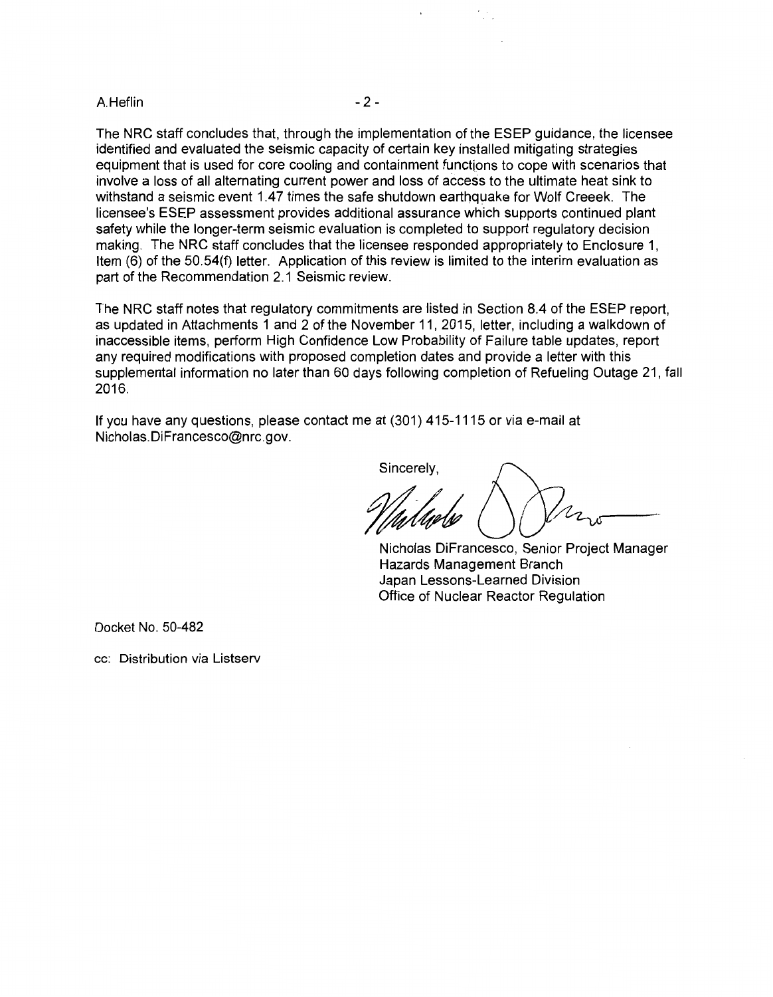## A.Heflin - 2 -

The NRC staff concludes that, through the implementation of the ESEP guidance, the licensee identified and evaluated the seismic capacity of certain key installed mitigating strategies equipment that is used for core cooling and containment functions to cope with scenarios that involve a loss of all alternating current power and loss of access to the ultimate heat sink to withstand a seismic event 1.47 times the safe shutdown earthquake for Wolf Creeek. The licensee's ESEP assessment provides additional assurance which supports continued plant safety while the longer-term seismic evaluation is completed to support regulatory decision making. The NRC staff concludes that the licensee responded appropriately to Enclosure 1, Item (6) of the 50.54(f) letter. Application of this review is limited to the interim evaluation as part of the Recommendation 2.1 Seismic review.

The NRC staff notes that regulatory commitments are listed in Section 8.4 of the ESEP report, as updated in Attachments 1 and 2 of the November 11, 2015, letter, including a walkdown of inaccessible items, perform High Confidence Low Probability of Failure table updates, report any required modifications with proposed completion dates and provide a letter with this supplemental information no later than 60 days following completion of Refueling Outage 21, fall 2016.

If you have any questions, please contact me at (301) 415-1115 or via e-mail at Nicholas. DiFrancesco@nrc.gov.

Sincerely,

Nicholas DiFrancesco, Senior Project Manager Hazards Management Branch Japan Lessons-Learned Division Office of Nuclear Reactor Regulation

Docket No. 50-482

cc: Distribution via Listserv